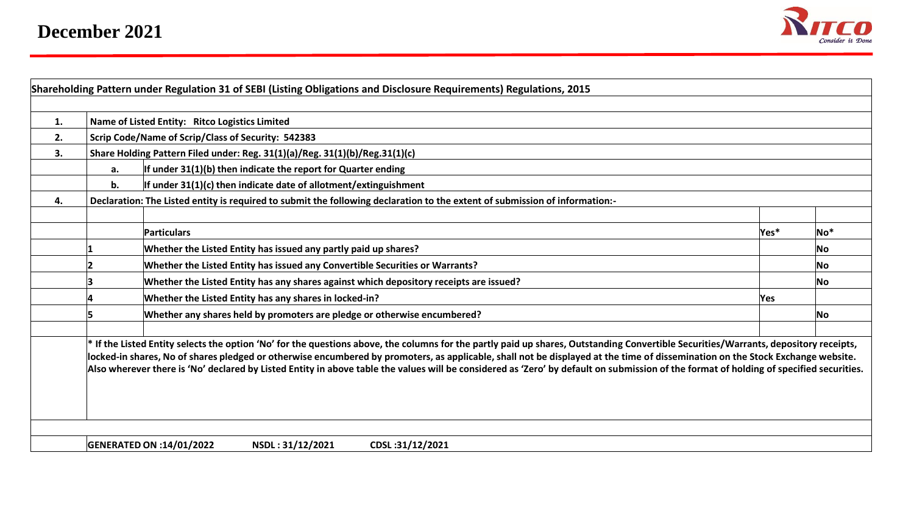

| 1. |                                                    | Name of Listed Entity: Ritco Logistics Limited                                                                                                                                                                                                                                                                                                                                                                                                                                                                                                                    |        |     |  |  |  |  |  |  |  |  |  |  |
|----|----------------------------------------------------|-------------------------------------------------------------------------------------------------------------------------------------------------------------------------------------------------------------------------------------------------------------------------------------------------------------------------------------------------------------------------------------------------------------------------------------------------------------------------------------------------------------------------------------------------------------------|--------|-----|--|--|--|--|--|--|--|--|--|--|
| 2. | Scrip Code/Name of Scrip/Class of Security: 542383 |                                                                                                                                                                                                                                                                                                                                                                                                                                                                                                                                                                   |        |     |  |  |  |  |  |  |  |  |  |  |
| 3. |                                                    | Share Holding Pattern Filed under: Reg. 31(1)(a)/Reg. 31(1)(b)/Reg.31(1)(c)                                                                                                                                                                                                                                                                                                                                                                                                                                                                                       |        |     |  |  |  |  |  |  |  |  |  |  |
|    | a.                                                 | If under 31(1)(b) then indicate the report for Quarter ending                                                                                                                                                                                                                                                                                                                                                                                                                                                                                                     |        |     |  |  |  |  |  |  |  |  |  |  |
|    | b.                                                 | If under $31(1)(c)$ then indicate date of allotment/extinguishment                                                                                                                                                                                                                                                                                                                                                                                                                                                                                                |        |     |  |  |  |  |  |  |  |  |  |  |
| 4. |                                                    | Declaration: The Listed entity is required to submit the following declaration to the extent of submission of information:-                                                                                                                                                                                                                                                                                                                                                                                                                                       |        |     |  |  |  |  |  |  |  |  |  |  |
|    |                                                    |                                                                                                                                                                                                                                                                                                                                                                                                                                                                                                                                                                   |        |     |  |  |  |  |  |  |  |  |  |  |
|    |                                                    | Particulars                                                                                                                                                                                                                                                                                                                                                                                                                                                                                                                                                       | Yes*   | No* |  |  |  |  |  |  |  |  |  |  |
|    |                                                    | Whether the Listed Entity has issued any partly paid up shares?                                                                                                                                                                                                                                                                                                                                                                                                                                                                                                   |        | No. |  |  |  |  |  |  |  |  |  |  |
|    |                                                    | Whether the Listed Entity has issued any Convertible Securities or Warrants?                                                                                                                                                                                                                                                                                                                                                                                                                                                                                      |        | No  |  |  |  |  |  |  |  |  |  |  |
|    |                                                    | Whether the Listed Entity has any shares against which depository receipts are issued?                                                                                                                                                                                                                                                                                                                                                                                                                                                                            |        | No. |  |  |  |  |  |  |  |  |  |  |
|    |                                                    | Whether the Listed Entity has any shares in locked-in?                                                                                                                                                                                                                                                                                                                                                                                                                                                                                                            | lYes . |     |  |  |  |  |  |  |  |  |  |  |
|    |                                                    | Whether any shares held by promoters are pledge or otherwise encumbered?                                                                                                                                                                                                                                                                                                                                                                                                                                                                                          |        |     |  |  |  |  |  |  |  |  |  |  |
|    |                                                    | * If the Listed Entity selects the option 'No' for the questions above, the columns for the partly paid up shares, Outstanding Convertible Securities/Warrants, depository receipts,<br>locked-in shares, No of shares pledged or otherwise encumbered by promoters, as applicable, shall not be displayed at the time of dissemination on the Stock Exchange website.<br>Also wherever there is 'No' declared by Listed Entity in above table the values will be considered as 'Zero' by default on submission of the format of holding of specified securities. |        |     |  |  |  |  |  |  |  |  |  |  |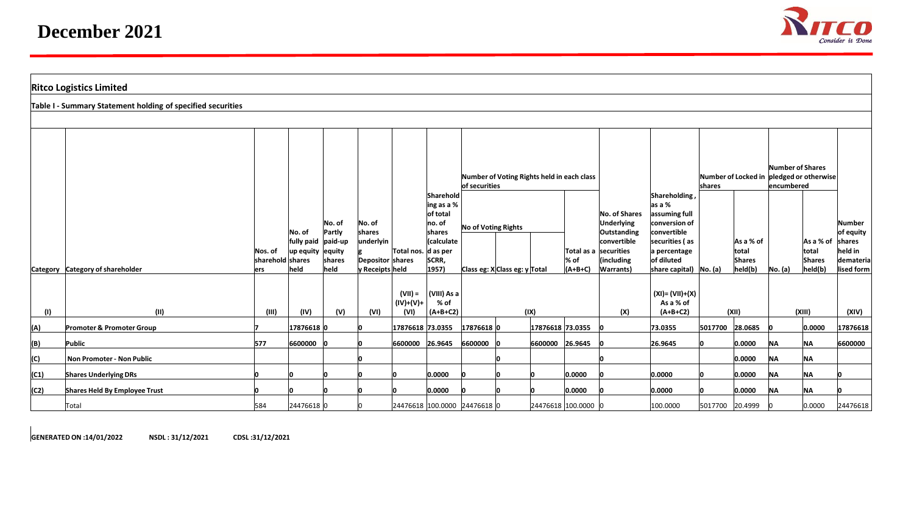

| <b>Ritco Logistics Limited</b> |                                                             |                                     |                                    |                                                          |                                                                      |                                  |                                                                                         |                                                             |                               |                  |                      |                                                                                                                              |                                                                                                                                   |         |                                         |                                                                                |                                                |          |
|--------------------------------|-------------------------------------------------------------|-------------------------------------|------------------------------------|----------------------------------------------------------|----------------------------------------------------------------------|----------------------------------|-----------------------------------------------------------------------------------------|-------------------------------------------------------------|-------------------------------|------------------|----------------------|------------------------------------------------------------------------------------------------------------------------------|-----------------------------------------------------------------------------------------------------------------------------------|---------|-----------------------------------------|--------------------------------------------------------------------------------|------------------------------------------------|----------|
|                                | Table I - Summary Statement holding of specified securities |                                     |                                    |                                                          |                                                                      |                                  |                                                                                         |                                                             |                               |                  |                      |                                                                                                                              |                                                                                                                                   |         |                                         |                                                                                |                                                |          |
|                                |                                                             |                                     |                                    |                                                          |                                                                      |                                  |                                                                                         |                                                             |                               |                  |                      |                                                                                                                              |                                                                                                                                   |         |                                         |                                                                                |                                                |          |
|                                |                                                             |                                     |                                    |                                                          |                                                                      | Total nos. d as per              | Sharehold<br>ing as a %<br>of total<br>no. of<br>shares<br>(calculate<br>SCRR,<br>1957) | Number of Voting Rights held in each class<br>of securities |                               |                  |                      | Shareholding,                                                                                                                | Number of Locked in pledged or otherwise<br>shares                                                                                |         | Number of Shares<br>encumbered          |                                                                                |                                                |          |
|                                | Category Category of shareholder                            | Nos. of<br>sharehold shares<br>lers | No. of<br>up equity equity<br>held | No. of<br>Partly<br>fully paid paid-up<br>shares<br>held | No. of<br>shares<br>underlyin<br>Depositor shares<br>y Receipts held |                                  |                                                                                         | No of Voting Rights                                         | Class eg: X Class eg: y Total |                  | $\%$ of<br>$(A+B+C)$ | No. of Shares<br><b>Underlying</b><br>Outstanding<br>convertible<br>Total as a securities<br>(including<br><b>Warrants</b> ) | as a %<br>assuming full<br>conversion of<br>convertible<br>securities (as<br>a percentage<br>of diluted<br>share capital) No. (a) |         | As a % of<br>total<br>Shares<br>held(b) | As a % of<br>shares<br>held in<br>total<br><b>Shares</b><br>held(b)<br>No. (a) | Number<br>of equity<br>demateria<br>lised form |          |
| (1)                            | (11)                                                        | (III)                               | (IV)                               | (V)                                                      | (VI)                                                                 | $(VII) =$<br>$(IV)+(V)+$<br>(VI) | (VIII) As a<br>% of<br>$(A+B+C2)$                                                       | (IX)                                                        |                               |                  | (X)                  | $(XI) = (VII)+(X)$<br>As a % of<br>$(A+B+C2)$                                                                                | (XII)                                                                                                                             |         | (XIII)                                  |                                                                                | (XIV)                                          |          |
| (A)                            | Promoter & Promoter Group                                   |                                     | 17876618 0                         |                                                          |                                                                      | 17876618 73.0355                 |                                                                                         | 17876618 0                                                  |                               | 17876618 73.0355 |                      |                                                                                                                              | 73.0355                                                                                                                           | 5017700 | 28.0685                                 |                                                                                | 0.0000                                         | 17876618 |
| (B)                            | Public                                                      | 577                                 | 6600000                            |                                                          |                                                                      | 6600000 26.9645                  |                                                                                         | 6600000                                                     |                               | 6600000 26.9645  |                      |                                                                                                                              | 26.9645                                                                                                                           |         | 0.0000                                  | <b>NA</b>                                                                      | <b>NA</b>                                      | 6600000  |
| (C)                            | Non Promoter - Non Public                                   |                                     |                                    |                                                          |                                                                      |                                  |                                                                                         |                                                             |                               |                  |                      |                                                                                                                              |                                                                                                                                   |         | 0.0000                                  | <b>NA</b>                                                                      | <b>NA</b>                                      |          |
| (C1)                           | <b>Shares Underlying DRs</b>                                |                                     |                                    |                                                          |                                                                      |                                  | 0.0000                                                                                  |                                                             |                               |                  | 0.0000               |                                                                                                                              | 0.0000                                                                                                                            | In.     | 0.0000                                  | <b>NA</b>                                                                      | <b>NA</b>                                      |          |
| (C2)                           | Shares Held By Employee Trust                               |                                     |                                    |                                                          |                                                                      |                                  | 0.0000                                                                                  |                                                             |                               |                  | 0.0000               |                                                                                                                              | 0.0000                                                                                                                            |         | 0.0000                                  | <b>NA</b>                                                                      | <b>NA</b>                                      |          |
|                                | Total                                                       | 584                                 | 24476618 0                         |                                                          |                                                                      |                                  | 24476618 100.0000 24476618 0                                                            |                                                             |                               |                  | 24476618 100.0000 0  |                                                                                                                              | 100.0000                                                                                                                          | 5017700 | 20.4999                                 |                                                                                | 0.0000                                         | 24476618 |

**GENERATED ON :14/01/2022 NSDL : 31/12/2021 CDSL :31/12/2021**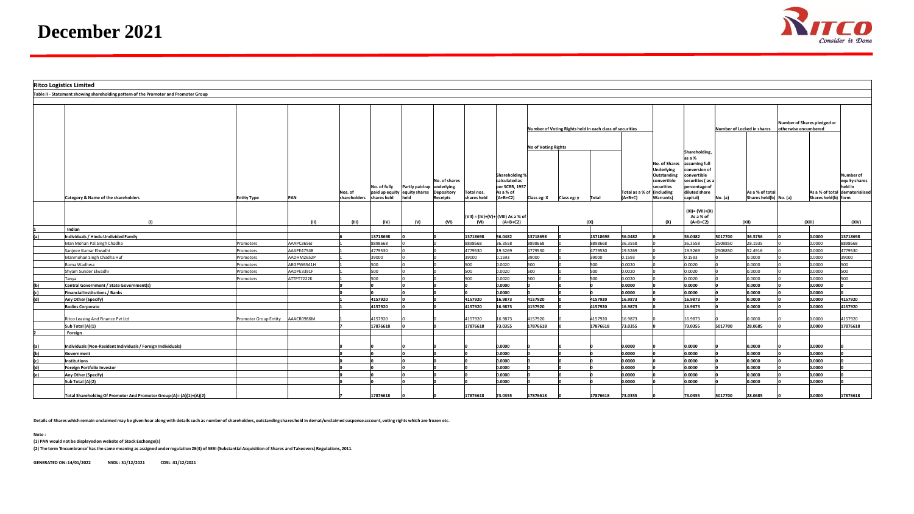

**Ritco Logistics Limited Table II - Statement showing shareholding pattern of the Promoter and Promoter Group Category & Name of the shareholders Entity Type PAN Nos. of shareholders No. of fully paid up equity equity shares shares held Partly paid-up underlying held lo.** of shares **Depository Receipts Total nos. shares held Shareholding % calculated as per SCRR, 1957 As a % of (A+B+C2) Number of Voting Rights held in each class of securities No. of Shares Underlying Outstanding convertible securities (including Total as a % of Warrants) (A+B+C) No. (a)** hareholding **as a % assuming full conversion** of **convertible securities ( as a percentage of diluted share capital) Number of Locked in shares Number of Shares pledged or otherwise encumbered Number of equity shares held in dematerialised As a % of total**  Shares held(h) form **No of Voting Rights As a % of total Shares held(b) No. (a)** Class eg: X **Class eg: y Total (A+B+C) Warrants) capital) No. (a) Shares held(b) No. (a) Shares held(b) (I) (II) (III) (IV) (V) (VI) (VII) = (IV)+(V)+ (VIII) As a % of (VI) (A+B+C2) (IX) (X) (XI)= (VII)+(X) As a % of (A+B+C2) (XII) (XIII) (XIV) 1 Indian (a) Individuals / Hindu Undivided Family 6 13718698 0 0 13718698 56.0482 13718698 0 13718698 56.0482 0 56.0482 5017700 36.5756 0 0.0000 13718698** Man Mohan Pal Singh Chadha Promoters AAAPC3656J 1 8898668 0 0 8898668 36.3558 8898668 0 8898668 36.3558 0 36.3558 2508850 28.1935 0 0.0000 8898668 Sanjeev Kumar Elwadhi Promoters AAAPE4754B 1 4779530 0 0 4779530 19.5269 4779530 0 4779530 19.5269 0 19.5269 2508850 52.4916 0 0.0000 4779530 Manmohan Singh Chadha Huf Promoters AADHM2652P 1 39000 0 0 39000 0.1593 39000 0 39000 0.1593 0 0.1593 0 0.0000 0 0.0000 39000 Roma Wadhwa Promoters ABGPW6541H 1 500 0 0 500 0.0020 500 0 500 0.0020 0 0.0020 0 0.0000 0 0.0000 500 Shyam Sunder Elwadhi Promoters AADPE3391F 1 500 0 0 500 0.0020 500 0 500 0.0020 0 0.0020 0 0.0000 0 0.0000 500 Tanya Promoters ATTPT7222K 1 500 0 0 500 0.0020 500 0 500 0.0020 0 0.0020 0 0.0000 0 0.0000 500 **(b) Central Government / State Government(s) 0 0 0 0 0 0.0000 0 0 0 0.0000 0 0.0000 0 0.0000 0 0.0000 0 (c) Financial Institutions / Banks 0 0 0 0 0 0.0000 0 0 0 0.0000 0 0.0000 0 0.0000 0 0.0000 0 (d) Any Other (Specify) 1 4157920 0 0 4157920 16.9873 4157920 0 4157920 16.9873 0 16.9873 0 0.0000 0 0.0000 4157920 Bodies Corporate 1 4157920 0 0 4157920 16.9873 4157920 0 4157920 16.9873 0 16.9873 0 0.0000 0 0.0000 4157920** Ritco Leasing And Finance Pvt Ltd Promoter Group Entity AAACR0986M 1 4157920 0 0 4157920 16.9873 4157920 0 4157920 16.9873 0 16.9873 0 0.0000 0 0.0000 4157920 **Sub Total (A)(1) 7 17876618 0 0 17876618 73.0355 17876618 0 17876618 73.0355 0 73.0355 5017700 28.0685 0 0.0000 17876618 2 Foreign (a) Individuals (Non-Resident Individuals / Foreign Individuals) 0 0 0 0 0 0.0000 0 0 0 0.0000 0 0.0000 0 0.0000 0 0.0000 0 (b) Government 0 0 0 0 0 0.0000 0 0 0 0.0000 0 0.0000 0 0.0000 0 0.0000 0 (c) Institutions 0 0 0 0 0 0.0000 0 0 0 0.0000 0 0.0000 0 0.0000 0 0.0000 0 (d) Foreign Portfolio Investor 0 0 0 0 0 0.0000 0 0 0 0.0000 0 0.0000 0 0.0000 0 0.0000 0 (e) Any Other (Specify) 0 0 0 0 0 0.0000 0 0 0 0.0000 0 0.0000 0 0.0000 0 0.0000 0 Sub Total (A)(2) 0 0 0 0 0 0.0000 0 0 0 0.0000 0 0.0000 0 0.0000 0 0.0000 0 Total Shareholding Of Promoter And Promoter Group (A)= (A)(1)+(A)(2) 7 17876618 0 0 17876618 73.0355 17876618 0 17876618 73.0355 0 73.0355 5017700 28.0685 0 0.0000 17876618**

**Details of Shares which remain unclaimed may be given hear along with details such as number of shareholders, outstanding shares held in demat/unclaimed suspense account, voting rights which are frozen etc.**

**Note :**

**(1) PAN would not be displayed on website of Stock Exchange(s)** 

**(2) The term 'Encumbrance' has the same meaning as assigned under regulation 28(3) of SEBI (Substantial Acquisition of Shares and Takeovers) Regulations, 2011.**

**GENERATED ON :14/01/2022 NSDL : 31/12/2021 CDSL :31/12/2021**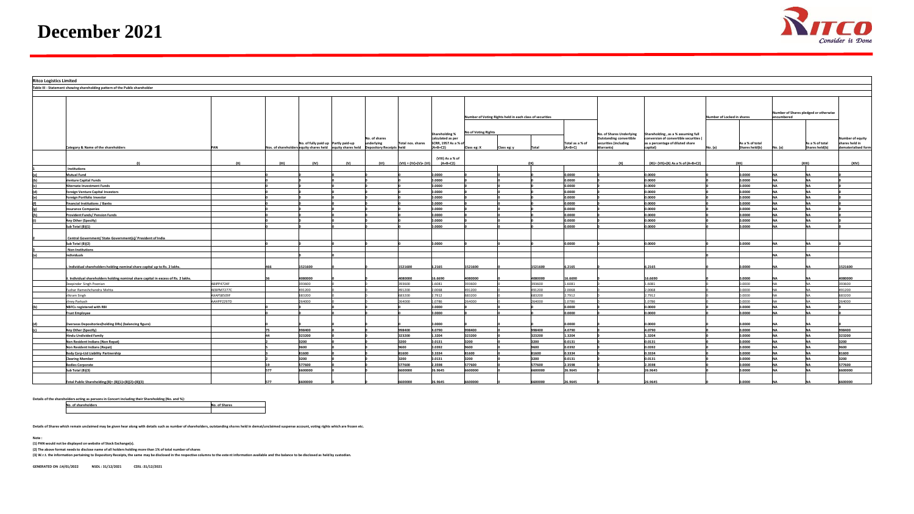

| <b>Ritco Logistics Limited</b> |                                                                                 |            |       |                                     |     |                                                                                     |                         |                                |                                                          |             |                  |                  |                          |                                        |                            |                 |            |                                       |                    |
|--------------------------------|---------------------------------------------------------------------------------|------------|-------|-------------------------------------|-----|-------------------------------------------------------------------------------------|-------------------------|--------------------------------|----------------------------------------------------------|-------------|------------------|------------------|--------------------------|----------------------------------------|----------------------------|-----------------|------------|---------------------------------------|--------------------|
|                                | Table III - Statement showing shareholding pattern of the Public shareholder    |            |       |                                     |     |                                                                                     |                         |                                |                                                          |             |                  |                  |                          |                                        |                            |                 |            |                                       |                    |
|                                |                                                                                 |            |       |                                     |     |                                                                                     |                         |                                |                                                          |             |                  |                  |                          |                                        |                            |                 |            |                                       |                    |
|                                |                                                                                 |            |       |                                     |     |                                                                                     |                         |                                |                                                          |             |                  |                  |                          |                                        |                            |                 |            |                                       |                    |
|                                |                                                                                 |            |       |                                     |     |                                                                                     |                         |                                |                                                          |             |                  |                  |                          |                                        |                            |                 |            |                                       |                    |
|                                |                                                                                 |            |       |                                     |     |                                                                                     |                         |                                |                                                          |             |                  |                  |                          |                                        |                            |                 |            | Number of Shares pledged or otherwise |                    |
|                                |                                                                                 |            |       |                                     |     |                                                                                     |                         |                                | Number of Voting Rights held in each class of securities |             |                  |                  |                          |                                        | Number of Locked in shares |                 | encumbered |                                       |                    |
|                                |                                                                                 |            |       |                                     |     |                                                                                     |                         |                                |                                                          |             |                  |                  |                          |                                        |                            |                 |            |                                       |                    |
|                                |                                                                                 |            |       |                                     |     |                                                                                     |                         |                                |                                                          |             |                  |                  |                          |                                        |                            |                 |            |                                       |                    |
|                                |                                                                                 |            |       |                                     |     |                                                                                     |                         | Shareholding %                 | No of Voting Rights                                      |             |                  |                  | No. of Shares Underlying | Shareholding, as a % assuming full     |                            |                 |            |                                       |                    |
|                                |                                                                                 |            |       |                                     |     | No. of shares                                                                       |                         | calculated as per              |                                                          |             |                  |                  | Outstanding convertible  | conversion of convertible securities ( |                            |                 |            |                                       | Number of equity   |
|                                |                                                                                 |            |       | No. of fully paid up Partly paid-up |     | underlying                                                                          | Total nos. shares       | SCRR, 1957 As a % of           |                                                          |             |                  | Total as a % of  | securities (including    | as a percentage of diluted share       |                            | As a % of total |            | As a % of total                       | shares held in     |
|                                | Category & Name of the shareholder:                                             |            |       |                                     |     | Nos. of shareholders equity shares held equity shares held Depository Receipts held |                         | $(A+B+C2)$                     | Class eg: X                                              | Class eg: y |                  | $(A+B+C)$        | Warrants)                | apital)                                |                            | Shares held(b)  |            | Shares held(b)                        | ematerialised form |
|                                |                                                                                 |            |       |                                     |     |                                                                                     |                         |                                |                                                          |             |                  |                  |                          |                                        |                            |                 |            |                                       |                    |
|                                |                                                                                 | (11)       | (III) | (IV)                                | (V) | (VI)                                                                                | $(VII) = (IV)+(V)+(VI)$ | (VIII) As a % of<br>$(A+B+C2)$ |                                                          |             |                  |                  | (X)                      | (XI)= (VII)+(X) As a % of (A+B+C2)     |                            | (x  )           | (x  )      |                                       | (XIV)              |
|                                | Institutions                                                                    |            |       |                                     |     |                                                                                     |                         |                                |                                                          |             |                  |                  |                          |                                        |                            |                 |            |                                       |                    |
|                                | Mutual Fund                                                                     |            |       |                                     |     |                                                                                     |                         | 0.0000                         |                                                          |             |                  | 0.0000           |                          | 0.0000                                 |                            | 0.0000          |            |                                       |                    |
|                                | enture Capital Funds                                                            |            |       |                                     |     |                                                                                     |                         | 0.0000                         |                                                          |             |                  | 0.0000           |                          | 0.0000                                 |                            | 0.0000          |            |                                       |                    |
|                                |                                                                                 |            |       |                                     |     |                                                                                     |                         | 0000.0                         |                                                          |             |                  | .0000            |                          | 0000.                                  |                            | ,0000           |            |                                       |                    |
|                                | <b>Alternate Investment Funds</b><br><b>Oreign Venture Capital Investors</b>    |            |       |                                     |     |                                                                                     |                         | 0000.0                         |                                                          |             |                  | 0000.0           |                          | 0.0000                                 |                            | ,0000           |            |                                       |                    |
|                                | oreign Portfolio Investor                                                       |            |       |                                     |     |                                                                                     |                         | 0000.0                         |                                                          |             |                  | 0.0000           |                          | 0.0000                                 |                            | 0.0000          |            |                                       |                    |
|                                | <b>Financial Institutions / Banks</b>                                           |            |       |                                     |     |                                                                                     |                         | 0.0000                         |                                                          |             |                  | o.oooo           |                          | 0.0000                                 |                            | 0.0000          |            |                                       |                    |
|                                | nsurance Companies                                                              |            |       |                                     |     |                                                                                     |                         | 0.0000                         |                                                          |             |                  | 0.0000           |                          | 0.0000                                 |                            | 0.0000          |            |                                       |                    |
|                                | rovident Funds/ Pension Funds                                                   |            |       |                                     |     |                                                                                     |                         | 0000.0                         |                                                          |             |                  | 0.0000           |                          | 0.0000                                 |                            | 0000.0          |            |                                       |                    |
|                                |                                                                                 |            |       |                                     |     |                                                                                     |                         |                                |                                                          |             |                  | 0.0000           |                          | 0000.                                  |                            | ,0000           |            |                                       |                    |
|                                | iny Other (Specify)                                                             |            |       |                                     |     |                                                                                     |                         | .0000                          |                                                          |             |                  |                  |                          | 0.0000                                 |                            | 0000.0          |            |                                       |                    |
|                                | ub Total (B)(1)                                                                 |            |       |                                     |     |                                                                                     |                         | 0000.0                         |                                                          |             |                  | 0.0000           |                          |                                        |                            |                 |            |                                       |                    |
|                                |                                                                                 |            |       |                                     |     |                                                                                     |                         |                                |                                                          |             |                  |                  |                          |                                        |                            |                 |            |                                       |                    |
|                                | Central Government/ State Government(s)/ President of India                     |            |       |                                     |     |                                                                                     |                         | ,0000                          |                                                          |             |                  | 0000.0           |                          | 0000.6                                 |                            | 0.0000          |            |                                       |                    |
|                                | ub Total (B)(2)                                                                 |            |       |                                     |     |                                                                                     |                         |                                |                                                          |             |                  |                  |                          |                                        |                            |                 |            |                                       |                    |
|                                | <b>Non-Institutions</b><br>ndividuals                                           |            |       |                                     |     |                                                                                     |                         |                                |                                                          |             |                  |                  |                          |                                        |                            |                 |            |                                       |                    |
|                                |                                                                                 |            |       |                                     |     |                                                                                     |                         |                                |                                                          |             |                  |                  |                          |                                        |                            |                 |            |                                       |                    |
|                                |                                                                                 |            |       |                                     |     |                                                                                     |                         |                                |                                                          |             |                  |                  |                          |                                        |                            |                 |            |                                       |                    |
|                                | Individual shareholders holding nominal share capital up to Rs. 2 lakhs.        |            |       | 1521600                             |     |                                                                                     | 1521600                 | .2165                          | 521600                                                   |             | 1521600          | 5.2165           |                          | .2165                                  |                            | ,0000           |            |                                       | 1521600            |
|                                |                                                                                 |            |       |                                     |     |                                                                                     |                         |                                | 080000                                                   |             |                  |                  |                          |                                        |                            | ,0000           |            |                                       | 080000             |
|                                | Individual shareholders holding nominal share capital in excess of Rs. 2 lakhs. | ABIPP4724F |       | 080000<br>393600                    |     |                                                                                     | 1080000<br>393600       | 6.6690<br>1.6081               | 93600                                                    |             | 080000<br>393600 | 6.6690<br>1.6081 |                          | 6.6690<br>1.6081                       |                            | 0000            |            |                                       | 393600             |
|                                | Deepinder Singh Poonian                                                         | AEBPM7277C |       | 191200                              |     |                                                                                     | 491200                  | .0068                          | 91200                                                    |             | 491200           | 8000.9           |                          | 800.5                                  |                            | 0000            |            |                                       | 491200             |
|                                | ushar Rameshchandra Mehta<br>Vikram Singh                                       | AXAPS8509F |       | 683200                              |     |                                                                                     | 683200                  | 2.7912                         | 683200                                                   |             | 683200           | 2.7912           |                          | 2.7912                                 |                            | 0.0000          |            |                                       | 683200             |
|                                | Viney Parkash                                                                   | AAHPP2297D |       | 264000                              |     |                                                                                     | 264000                  | 1.0786                         | 264000                                                   |             | 264000           | 1.0786           |                          | 1.0786                                 |                            | 0000.0          |            |                                       | 264000             |
|                                |                                                                                 |            |       |                                     |     |                                                                                     |                         |                                |                                                          |             |                  | .0000            |                          | 0.0000                                 |                            | ,0000           |            |                                       |                    |
|                                | <b>NBFCs registered with RBI</b>                                                |            |       |                                     |     |                                                                                     |                         | 0000.0                         |                                                          |             |                  |                  |                          | 0000.                                  |                            |                 |            |                                       |                    |
|                                | <b>Trust Employee</b>                                                           |            |       |                                     |     |                                                                                     |                         | 0000.0                         |                                                          |             |                  | .0000            |                          |                                        |                            | ,0000           |            |                                       |                    |
|                                |                                                                                 |            |       |                                     |     |                                                                                     |                         |                                |                                                          |             |                  |                  |                          |                                        |                            |                 |            |                                       |                    |
|                                | Overseas Depositories(holding DRs) (balancing figure)                           |            |       | 998400                              |     |                                                                                     | 998400                  | 0000.0<br>4.0790               | 998400                                                   |             | 998400           | .0000<br>4.0790  |                          | 0.0000<br>4.0790                       |                            | ,0000<br>0.0000 |            |                                       | 998400             |
|                                | Any Other (Specify)                                                             |            |       |                                     |     |                                                                                     | 323200                  | 1.3204                         |                                                          |             |                  | L.3204           |                          | 1.3204                                 |                            | 0.0000          |            |                                       |                    |
|                                | <b>Hindu Undivided Family</b>                                                   |            |       | 323200                              |     |                                                                                     |                         | 0.0131                         | 323200                                                   |             | 323200<br>3200   | 0.0131           |                          |                                        |                            |                 |            |                                       | 323200             |
|                                | Non Resident Indians (Non Repat)                                                |            |       | 3200                                |     |                                                                                     | 3200                    |                                | 3200<br>snn                                              |             |                  |                  |                          | 0.0131                                 |                            | 0000.0          |            |                                       | 3200               |
|                                | Ion Resident Indians (Repat)                                                    |            |       | $\sim$                              |     |                                                                                     | 0096                    | .0392                          |                                                          |             | 9600             | 0.0392           |                          | 0.0392                                 |                            | ,0000           |            |                                       | 600                |
|                                | ody Corp-Ltd Liability Partnership                                              |            |       | 81600                               |     |                                                                                     | 81600                   | 0.3334                         | 81600                                                    |             | 81600            | 0.3334           |                          | 0.3334                                 |                            | 0000.0          |            |                                       | 81600              |
|                                | <b>Clearing Member</b>                                                          |            |       | 3200                                |     |                                                                                     | 3200                    | 0.131                          | 200                                                      |             | 3200             | 0.0131           |                          | 0.0131                                 |                            | ,0000           |            |                                       | 3200               |
|                                | <b>Bodies Corporate</b>                                                         |            |       | 577600                              |     |                                                                                     | 577600                  | .3598                          | 77600                                                    |             | 577600           | .3598            |                          | .3598                                  |                            | ,0000           |            |                                       | 577600             |
|                                | ub Total (B)(3)                                                                 |            |       | 600000                              |     |                                                                                     | 6600000                 | 6.9645                         | 600000                                                   |             | 6600000          | 6.9645           |                          | 6.9645                                 |                            | ,0000           |            |                                       | 6600000            |
|                                |                                                                                 |            |       | 6600000                             |     |                                                                                     | 6600000                 | 6.9645                         | 6600000                                                  |             |                  | 6.9645           |                          | 26.9645                                |                            | 0.0000          |            |                                       | 6600000            |
|                                | Total Public Shareholding (B)= (B)(1)+(B)(2)+(B)(3)                             |            |       |                                     |     |                                                                                     |                         |                                |                                                          |             | 6600000          |                  |                          |                                        |                            |                 |            |                                       |                    |

**Details of the shareholders acting as persons in Concert including their Shareholding (No. and %):**

**No. of shareholders No. of Shares**

**Details of Shares which remain unclaimed may be given hear along with details such as number of shareholders, outstanding shares held in demat/unclaimed suspense account, voting rights which are frozen etc.**

**Note :**

**(1) PAN would not be displayed on website of Stock Exchange(s).** 

**(2) The above format needs to disclose name of all holders holding more than 1% of total number of shares (3) W.r.t. the information pertaining to Depository Receipts, the same may be disclosed in the respective columns to the extent information available and the balance to be disclosed as held by custodian.**

**GENERATED ON :14/01/2022 NSDL : 31/12/2021 CDSL :31/12/2021**